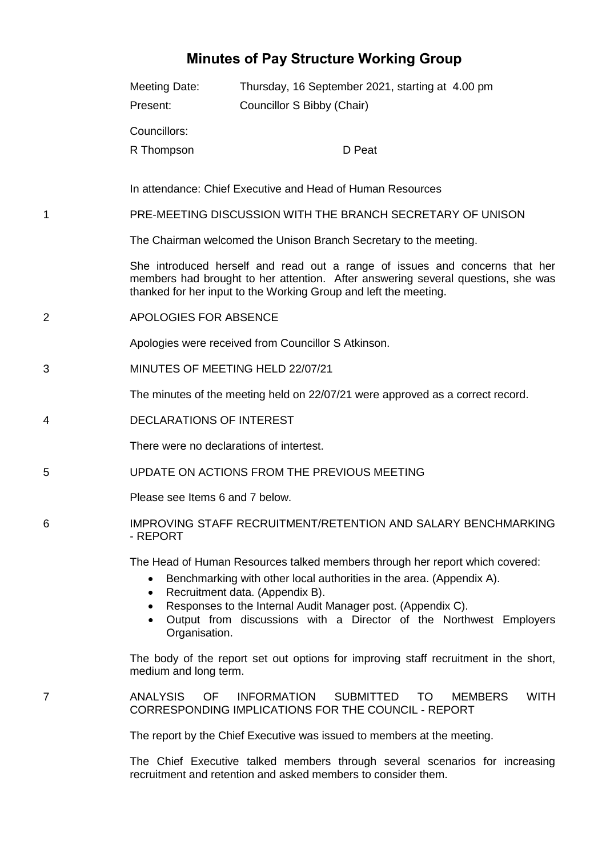## **Minutes of Pay Structure Working Group**

|   | Meeting Date:<br>Present:                                                                                                                                                                                                           | Thursday, 16 September 2021, starting at 4.00 pm<br>Councillor S Bibby (Chair)                                                                                                                                                                                                                                               |  |
|---|-------------------------------------------------------------------------------------------------------------------------------------------------------------------------------------------------------------------------------------|------------------------------------------------------------------------------------------------------------------------------------------------------------------------------------------------------------------------------------------------------------------------------------------------------------------------------|--|
|   | Councillors:<br>R Thompson                                                                                                                                                                                                          | D Peat                                                                                                                                                                                                                                                                                                                       |  |
|   | In attendance: Chief Executive and Head of Human Resources                                                                                                                                                                          |                                                                                                                                                                                                                                                                                                                              |  |
| 1 | PRE-MEETING DISCUSSION WITH THE BRANCH SECRETARY OF UNISON                                                                                                                                                                          |                                                                                                                                                                                                                                                                                                                              |  |
|   | The Chairman welcomed the Unison Branch Secretary to the meeting.                                                                                                                                                                   |                                                                                                                                                                                                                                                                                                                              |  |
|   | She introduced herself and read out a range of issues and concerns that her<br>members had brought to her attention. After answering several questions, she was<br>thanked for her input to the Working Group and left the meeting. |                                                                                                                                                                                                                                                                                                                              |  |
| 2 | APOLOGIES FOR ABSENCE                                                                                                                                                                                                               |                                                                                                                                                                                                                                                                                                                              |  |
|   | Apologies were received from Councillor S Atkinson.                                                                                                                                                                                 |                                                                                                                                                                                                                                                                                                                              |  |
| 3 | MINUTES OF MEETING HELD 22/07/21                                                                                                                                                                                                    |                                                                                                                                                                                                                                                                                                                              |  |
|   | The minutes of the meeting held on 22/07/21 were approved as a correct record.                                                                                                                                                      |                                                                                                                                                                                                                                                                                                                              |  |
| 4 | <b>DECLARATIONS OF INTEREST</b>                                                                                                                                                                                                     |                                                                                                                                                                                                                                                                                                                              |  |
|   | There were no declarations of intertest.                                                                                                                                                                                            |                                                                                                                                                                                                                                                                                                                              |  |
| 5 | UPDATE ON ACTIONS FROM THE PREVIOUS MEETING                                                                                                                                                                                         |                                                                                                                                                                                                                                                                                                                              |  |
|   | Please see Items 6 and 7 below.                                                                                                                                                                                                     |                                                                                                                                                                                                                                                                                                                              |  |
| 6 | IMPROVING STAFF RECRUITMENT/RETENTION AND SALARY BENCHMARKING<br>- REPORT                                                                                                                                                           |                                                                                                                                                                                                                                                                                                                              |  |
|   | ٠<br>$\bullet$<br>Organisation.                                                                                                                                                                                                     | The Head of Human Resources talked members through her report which covered:<br>Benchmarking with other local authorities in the area. (Appendix A).<br>Recruitment data. (Appendix B).<br>Responses to the Internal Audit Manager post. (Appendix C).<br>Output from discussions with a Director of the Northwest Employers |  |
|   | medium and long term.                                                                                                                                                                                                               | The body of the report set out options for improving staff recruitment in the short,                                                                                                                                                                                                                                         |  |
| 7 | <b>ANALYSIS</b><br><b>OF</b>                                                                                                                                                                                                        | <b>INFORMATION</b><br><b>SUBMITTED</b><br><b>WITH</b><br>TO<br><b>MEMBERS</b><br>CORRESPONDING IMPLICATIONS FOR THE COUNCIL - REPORT                                                                                                                                                                                         |  |
|   | The report by the Chief Executive was issued to members at the meeting.                                                                                                                                                             |                                                                                                                                                                                                                                                                                                                              |  |
|   |                                                                                                                                                                                                                                     | The Chief Executive talked members through several scenarios for increasing<br>recruitment and retention and asked members to consider them.                                                                                                                                                                                 |  |